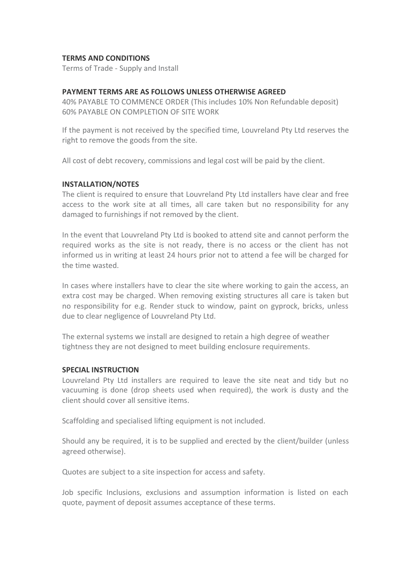# **TERMS AND CONDITIONS**

Terms of Trade - Supply and Install

# **PAYMENT TERMS ARE AS FOLLOWS UNLESS OTHERWISE AGREED**

40% PAYABLE TO COMMENCE ORDER (This includes 10% Non Refundable deposit) 60% PAYABLE ON COMPLETION OF SITE WORK

If the payment is not received by the specified time, Louvreland Pty Ltd reserves the right to remove the goods from the site.

All cost of debt recovery, commissions and legal cost will be paid by the client.

## **INSTALLATION/NOTES**

The client is required to ensure that Louvreland Pty Ltd installers have clear and free access to the work site at all times, all care taken but no responsibility for any damaged to furnishings if not removed by the client.

In the event that Louvreland Pty Ltd is booked to attend site and cannot perform the required works as the site is not ready, there is no access or the client has not informed us in writing at least 24 hours prior not to attend a fee will be charged for the time wasted.

In cases where installers have to clear the site where working to gain the access, an extra cost may be charged. When removing existing structures all care is taken but no responsibility for e.g. Render stuck to window, paint on gyprock, bricks, unless due to clear negligence of Louvreland Pty Ltd.

The external systems we install are designed to retain a high degree of weather tightness they are not designed to meet building enclosure requirements.

## **SPECIAL INSTRUCTION**

Louvreland Pty Ltd installers are required to leave the site neat and tidy but no vacuuming is done (drop sheets used when required), the work is dusty and the client should cover all sensitive items.

Scaffolding and specialised lifting equipment is not included.

Should any be required, it is to be supplied and erected by the client/builder (unless agreed otherwise).

Quotes are subject to a site inspection for access and safety.

Job specific Inclusions, exclusions and assumption information is listed on each quote, payment of deposit assumes acceptance of these terms.